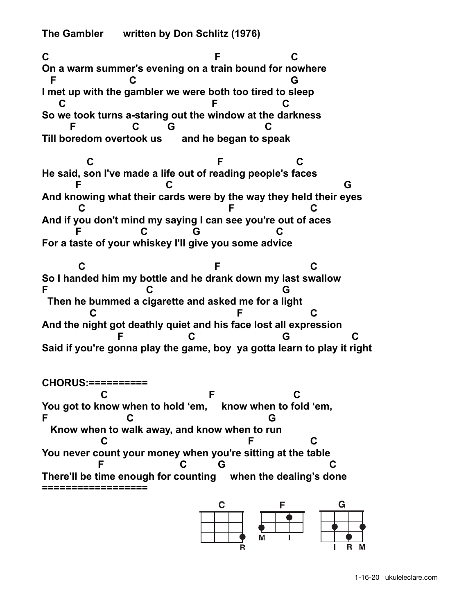**The Gambler written by Don Schlitz (1976)** 

**C F C On a warm summer's evening on a train bound for nowhere F C G I met up with the gambler we were both too tired to sleep C F C So we took turns a-staring out the window at the darkness F C G C Till boredom overtook us and he began to speak C** F C **He said, son I've made a life out of reading people's faces F C G And knowing what their cards were by the way they held their eyes C** C F C **And if you don't mind my saying I can see you're out of aces F C G C For a taste of your whiskey I'll give you some advice C** F C **So I handed him my bottle and he drank down my last swallow F C G** 

**CHORUS:========== C** C F C **You got to know when to hold 'em, know when to fold 'em, F C G Know when to walk away, and know when to run C** C F C **You never count your money when you're sitting at the table e** F C G C C **There'll be time enough for counting when the dealing's done ==================** 

 **Then he bummed a cigarette and asked me for a light C** F C

**And the night got deathly quiet and his face lost all expression F C G C Said if you're gonna play the game, boy ya gotta learn to play it right**